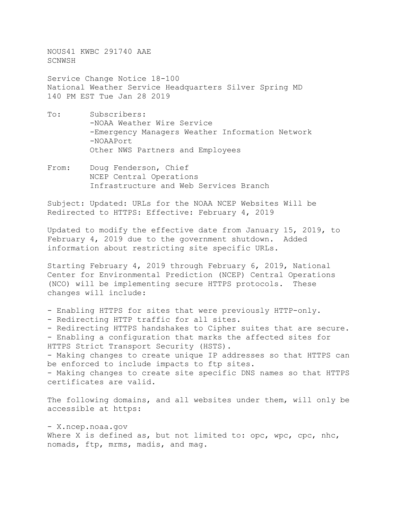NOUS41 KWBC 291740 AAE SCNWSH

Service Change Notice 18-100 National Weather Service Headquarters Silver Spring MD 140 PM EST Tue Jan 28 2019

- To: Subscribers: -NOAA Weather Wire Service -Emergency Managers Weather Information Network -NOAAPort Other NWS Partners and Employees
- From: Doug Fenderson, Chief NCEP Central Operations Infrastructure and Web Services Branch

Subject: Updated: URLs for the NOAA NCEP Websites Will be Redirected to HTTPS: Effective: February 4, 2019

Updated to modify the effective date from January 15, 2019, to February 4, 2019 due to the government shutdown. Added information about restricting site specific URLs.

Starting February 4, 2019 through February 6, 2019, National Center for Environmental Prediction (NCEP) Central Operations (NCO) will be implementing secure HTTPS protocols. These changes will include:

- Enabling HTTPS for sites that were previously HTTP-only.

- Redirecting HTTP traffic for all sites.

- Redirecting HTTPS handshakes to Cipher suites that are secure. - Enabling a configuration that marks the affected sites for HTTPS Strict Transport Security (HSTS). - Making changes to create unique IP addresses so that HTTPS can

be enforced to include impacts to ftp sites. - Making changes to create site specific DNS names so that HTTPS certificates are valid.

The following domains, and all websites under them, will only be accessible at https:

- X.ncep.noaa.gov Where X is defined as, but not limited to: opc, wpc, cpc, nhc, nomads, ftp, mrms, madis, and mag.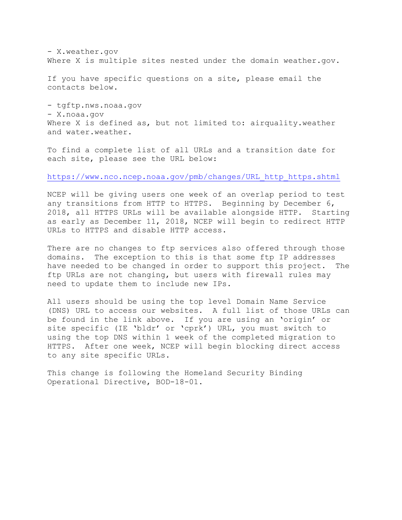- X.weather.gov Where X is multiple sites nested under the domain weather.gov.

If you have specific questions on a site, please email the contacts below.

- tgftp.nws.noaa.gov - X.noaa.gov Where X is defined as, but not limited to: airquality.weather and water.weather.

To find a complete list of all URLs and a transition date for each site, please see the URL below:

[https://www.nco.ncep.noaa.gov/pmb/changes/URL\\_http\\_https.shtml](https://www.nco.ncep.noaa.gov/pmb/changes/URL_http_https.shtml)

NCEP will be giving users one week of an overlap period to test any transitions from HTTP to HTTPS. Beginning by December 6, 2018, all HTTPS URLs will be available alongside HTTP. Starting as early as December 11, 2018, NCEP will begin to redirect HTTP URLs to HTTPS and disable HTTP access.

There are no changes to ftp services also offered through those domains. The exception to this is that some ftp IP addresses have needed to be changed in order to support this project. The ftp URLs are not changing, but users with firewall rules may need to update them to include new IPs.

All users should be using the top level Domain Name Service (DNS) URL to access our websites. A full list of those URLs can be found in the link above. If you are using an 'origin' or site specific (IE 'bldr' or 'cprk') URL, you must switch to using the top DNS within 1 week of the completed migration to HTTPS. After one week, NCEP will begin blocking direct access to any site specific URLs.

This change is following the Homeland Security Binding Operational Directive, BOD-18-01.